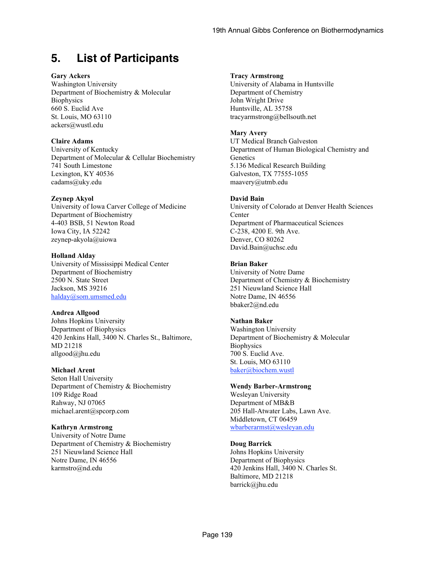# **5. List of Participants**

#### **Gary Ackers**

Washington University Department of Biochemistry & Molecular **Biophysics** 660 S. Euclid Ave St. Louis, MO 63110 ackers@wustl.edu

#### **Claire Adams**

University of Kentucky Department of Molecular & Cellular Biochemistry 741 South Limestone Lexington, KY 40536 cadams@uky.edu

#### **Zeynep Akyol**

University of Iowa Carver College of Medicine Department of Biochemistry 4-403 BSB, 51 Newton Road Iowa City, IA 52242 zeynep-akyola@uiowa

#### **Holland Alday**

University of Mississippi Medical Center Department of Biochemistry 2500 N. State Street Jackson, MS 39216 halday@som.umsmed.edu

#### **Andrea Allgood**

Johns Hopkins University Department of Biophysics 420 Jenkins Hall, 3400 N. Charles St., Baltimore, MD 21218 allgood@jhu.edu

#### **Michael Arent**

Seton Hall University Department of Chemistry & Biochemistry 109 Ridge Road Rahway, NJ 07065 michael.arent@spcorp.com

#### **Kathryn Armstrong**

University of Notre Dame Department of Chemistry & Biochemistry 251 Nieuwland Science Hall Notre Dame, IN 46556 karmstro@nd.edu

#### **Tracy Armstrong**

University of Alabama in Huntsville Department of Chemistry John Wright Drive Huntsville, AL 35758 tracyarmstrong@bellsouth.net

#### **Mary Avery**

UT Medical Branch Galveston Department of Human Biological Chemistry and **Genetics** 5.136 Medical Research Building Galveston, TX 77555-1055 maavery@utmb.edu

#### **David Bain**

University of Colorado at Denver Health Sciences **Center** Department of Pharmaceutical Sciences C-238, 4200 E. 9th Ave. Denver, CO 80262 David.Bain@uchsc.edu

#### **Brian Baker**

University of Notre Dame Department of Chemistry & Biochemistry 251 Nieuwland Science Hall Notre Dame, IN 46556 bbaker2@nd.edu

#### **Nathan Baker**

Washington University Department of Biochemistry & Molecular **Biophysics** 700 S. Euclid Ave. St. Louis, MO 63110 baker@biochem.wustl

#### **Wendy Barber-Armstrong**

Wesleyan University Department of MB&B 205 Hall-Atwater Labs, Lawn Ave. Middletown, CT 06459 wbarberarmst@wesleyan.edu

#### **Doug Barrick**

Johns Hopkins University Department of Biophysics 420 Jenkins Hall, 3400 N. Charles St. Baltimore, MD 21218 barrick@jhu.edu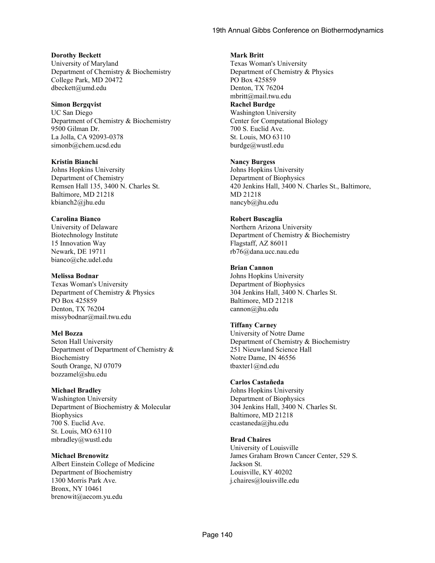**Dorothy Beckett** University of Maryland Department of Chemistry & Biochemistry College Park, MD 20472 dbeckett@umd.edu

**Simon Bergqvist** UC San Diego Department of Chemistry & Biochemistry 9500 Gilman Dr. La Jolla, CA 92093-0378 simonb@chem.ucsd.edu

**Kristin Bianchi** Johns Hopkins University Department of Chemistry Remsen Hall 135, 3400 N. Charles St. Baltimore, MD 21218 kbianch2@jhu.edu

#### **Carolina Bianco**

University of Delaware Biotechnology Institute 15 Innovation Way Newark, DE 19711 bianco@che.udel.edu

#### **Melissa Bodnar**

Texas Woman's University Department of Chemistry & Physics PO Box 425859 Denton, TX 76204 missybodnar@mail.twu.edu

#### **Mel Bozza**

Seton Hall University Department of Department of Chemistry & Biochemistry South Orange, NJ 07079 bozzamel@shu.edu

#### **Michael Bradley**

Washington University Department of Biochemistry & Molecular **Biophysics** 700 S. Euclid Ave. St. Louis, MO 63110 mbradley@wustl.edu

**Michael Brenowitz** Albert Einstein College of Medicine Department of Biochemistry 1300 Morris Park Ave. Bronx, NY 10461 brenowit@aecom.yu.edu

#### **Mark Britt**

Texas Woman's University Department of Chemistry & Physics PO Box 425859 Denton, TX 76204 mbritt@mail.twu.edu **Rachel Burdge** Washington University Center for Computational Biology 700 S. Euclid Ave. St. Louis, MO 63110 burdge@wustl.edu

#### **Nancy Burgess**

Johns Hopkins University Department of Biophysics 420 Jenkins Hall, 3400 N. Charles St., Baltimore, MD 21218 nancyb@jhu.edu

#### **Robert Buscaglia**

Northern Arizona University Department of Chemistry & Biochemistry Flagstaff, AZ 86011 rb76@dana.ucc.nau.edu

#### **Brian Cannon**

Johns Hopkins University Department of Biophysics 304 Jenkins Hall, 3400 N. Charles St. Baltimore, MD 21218 cannon@jhu.edu

#### **Tiffany Carney**

University of Notre Dame Department of Chemistry & Biochemistry 251 Nieuwland Science Hall Notre Dame, IN 46556 tbaxter1@nd.edu

#### **Carlos Castañeda**

Johns Hopkins University Department of Biophysics 304 Jenkins Hall, 3400 N. Charles St. Baltimore, MD 21218 ccastaneda@jhu.edu

#### **Brad Chaires**

University of Louisville James Graham Brown Cancer Center, 529 S. Jackson St. Louisville, KY 40202 j.chaires@louisville.edu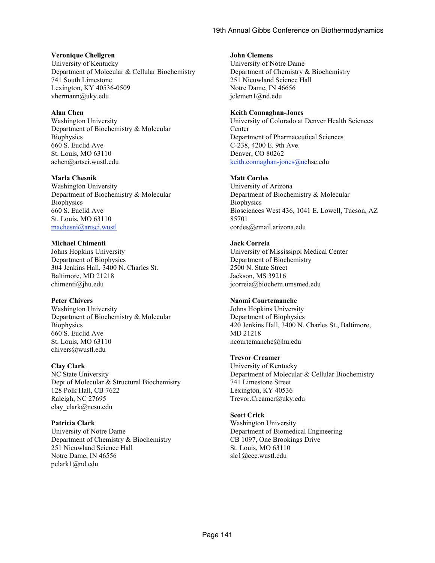#### **Veronique Chellgren**

University of Kentucky Department of Molecular & Cellular Biochemistry 741 South Limestone Lexington, KY 40536-0509 vhermann@uky.edu

#### **Alan Chen**

Washington University Department of Biochemistry & Molecular **Biophysics** 660 S. Euclid Ave St. Louis, MO 63110 achen@artsci.wustl.edu

#### **Marla Chesnik**

Washington University Department of Biochemistry & Molecular **Biophysics** 660 S. Euclid Ave St. Louis, MO 63110 machesni@artsci.wustl

#### **Michael Chimenti**

Johns Hopkins University Department of Biophysics 304 Jenkins Hall, 3400 N. Charles St. Baltimore, MD 21218 chimenti@jhu.edu

#### **Peter Chivers**

Washington University Department of Biochemistry & Molecular **Biophysics** 660 S. Euclid Ave St. Louis, MO 63110 chivers@wustl.edu

#### **Clay Clark**

NC State University Dept of Molecular & Structural Biochemistry 128 Polk Hall, CB 7622 Raleigh, NC 27695 clay\_clark@ncsu.edu

## **Patricia Clark**

University of Notre Dame Department of Chemistry & Biochemistry 251 Nieuwland Science Hall Notre Dame, IN 46556 pclark1@nd.edu

#### **John Clemens**

University of Notre Dame Department of Chemistry & Biochemistry 251 Nieuwland Science Hall Notre Dame, IN 46656 jclemen1@nd.edu

#### **Keith Connaghan-Jones**

University of Colorado at Denver Health Sciences **Center** Department of Pharmaceutical Sciences C-238, 4200 E. 9th Ave. Denver, CO 80262 keith.connaghan-jones@uchsc.edu

#### **Matt Cordes**

University of Arizona Department of Biochemistry & Molecular **Biophysics** Biosciences West 436, 1041 E. Lowell, Tucson, AZ 85701 cordes@email.arizona.edu

#### **Jack Correia**

University of Mississippi Medical Center Department of Biochemistry 2500 N. State Street Jackson, MS 39216 jcorreia@biochem.umsmed.edu

#### **Naomi Courtemanche**

Johns Hopkins University Department of Biophysics 420 Jenkins Hall, 3400 N. Charles St., Baltimore, MD 21218 ncourtemanche@jhu.edu

#### **Trevor Creamer**

University of Kentucky Department of Molecular & Cellular Biochemistry 741 Limestone Street Lexington, KY 40536 Trevor.Creamer@uky.edu

#### **Scott Crick**

Washington University Department of Biomedical Engineering CB 1097, One Brookings Drive St. Louis, MO 63110 slc1@cec.wustl.edu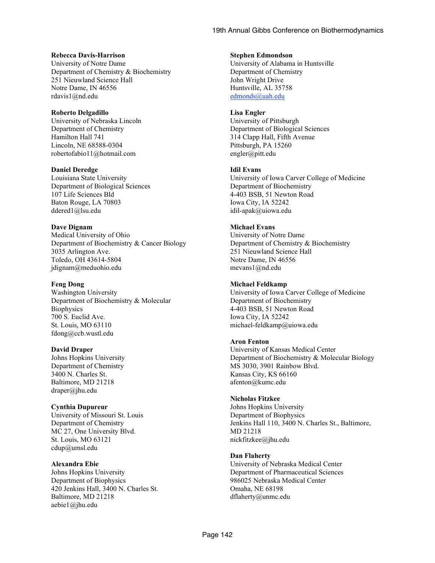#### **Rebecca Davis-Harrison**

University of Notre Dame Department of Chemistry & Biochemistry 251 Nieuwland Science Hall Notre Dame, IN 46556 rdavis1@nd.edu

#### **Roberto Delgadillo**

University of Nebraska Lincoln Department of Chemistry Hamilton Hall 741 Lincoln, NE 68588-0304 robertofabio11@hotmail.com

#### **Daniel Deredge**

Louisiana State University Department of Biological Sciences 107 Life Sciences Bld Baton Rouge, LA 70803 ddered1@lsu.edu

#### **Dave Dignam**

Medical University of Ohio Department of Biochemistry & Cancer Biology 3035 Arlington Ave. Toledo, OH 43614-5804 jdignam@meduohio.edu

#### **Feng Dong**

Washington University Department of Biochemistry & Molecular **Biophysics** 700 S. Euclid Ave. St. Louis, MO 63110 fdong@ccb.wustl.edu

#### **David Draper**

Johns Hopkins University Department of Chemistry 3400 N. Charles St. Baltimore, MD 21218 draper@jhu.edu

#### **Cynthia Dupureur**

University of Missouri St. Louis Department of Chemistry MC 27, One University Blvd. St. Louis, MO 63121 cdup@umsl.edu

#### **Alexandra Ebie**

Johns Hopkins University Department of Biophysics 420 Jenkins Hall, 3400 N. Charles St. Baltimore, MD 21218 aebie1@jhu.edu

#### **Stephen Edmondson**

University of Alabama in Huntsville Department of Chemistry John Wright Drive Huntsville, AL 35758 edmonds@uah.edu

#### **Lisa Engler**

University of Pittsburgh Department of Biological Sciences 314 Clapp Hall, Fifth Avenue Pittsburgh, PA 15260 engler@pitt.edu

#### **Idil Evans**

University of Iowa Carver College of Medicine Department of Biochemistry 4-403 BSB, 51 Newton Road Iowa City, IA 52242 idil-apak@uiowa.edu

#### **Michael Evans**

University of Notre Dame Department of Chemistry & Biochemistry 251 Nieuwland Science Hall Notre Dame, IN 46556 mevans1@nd.edu

#### **Michael Feldkamp**

University of Iowa Carver College of Medicine Department of Biochemistry 4-403 BSB, 51 Newton Road Iowa City, IA 52242 michael-feldkamp@uiowa.edu

#### **Aron Fenton**

University of Kansas Medical Center Department of Biochemistry & Molecular Biology MS 3030, 3901 Rainbow Blvd. Kansas City, KS 66160 afenton@kumc.edu

#### **Nicholas Fitzkee**

Johns Hopkins University Department of Biophysics Jenkins Hall 110, 3400 N. Charles St., Baltimore, MD 21218 nickfitzkee@jhu.edu

#### **Dan Flaherty**

University of Nebraska Medical Center Department of Pharmaceutical Sciences 986025 Nebraska Medical Center Omaha, NE 68198 dflaherty@unmc.edu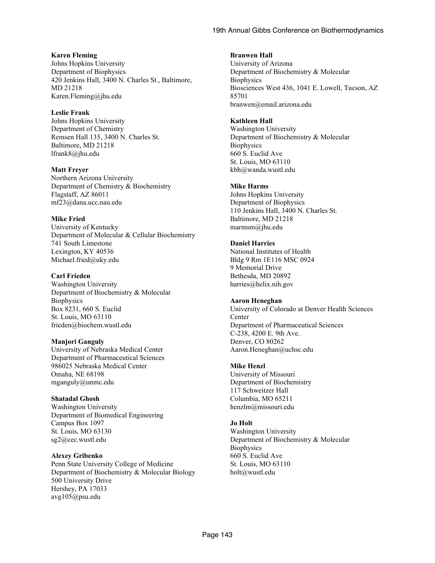#### **Karen Fleming**

Johns Hopkins University Department of Biophysics 420 Jenkins Hall, 3400 N. Charles St., Baltimore, MD 21218 Karen.Fleming@jhu.edu

#### **Leslie Frank**

Johns Hopkins University Department of Chemistry Remsen Hall 135, 3400 N. Charles St. Baltimore, MD 21218 lfrank8@jhu.edu

#### **Matt Freyer**

Northern Arizona University Department of Chemistry & Biochemistry Flagstaff, AZ 86011 mf23@dana.ucc.nau.edu

## **Mike Fried**

University of Kentucky Department of Molecular & Cellular Biochemistry 741 South Limestone Lexington, KY 40536 Michael.fried@uky.edu

## **Carl Frieden**

Washington University Department of Biochemistry & Molecular **Biophysics** Box 8231, 660 S. Euclid St. Louis, MO 63110 frieden@biochem.wustl.edu

#### **Manjori Ganguly**

University of Nebraska Medical Center Department of Pharmaceutical Sciences 986025 Nebraska Medical Center Omaha, NE 68198 mganguly@unmc.edu

## **Shatadal Ghosh**

Washington University Department of Biomedical Engineering Campus Box 1097 St. Louis, MO 63130 sg2@cec.wustl.edu

#### **Alexey Gribenko**

Penn State University College of Medicine Department of Biochemistry & Molecular Biology 500 University Drive Hershey, PA 17033 avg105@psu.edu

#### **Branwen Hall**

University of Arizona Department of Biochemistry & Molecular **Biophysics** Biosciences West 436, 1041 E. Lowell, Tucson, AZ 85701 branwen@email.arizona.edu

#### **Kathleen Hall**

Washington University Department of Biochemistry & Molecular **Biophysics** 660 S. Euclid Ave St. Louis, MO 63110 kbh@wanda.wustl.edu

#### **Mike Harms**

Johns Hopkins University Department of Biophysics 110 Jenkins Hall, 3400 N. Charles St. Baltimore, MD 21218 marmsm@jhu.edu

#### **Daniel Harries**

National Institutes of Health Bldg 9 Rm 1E116 MSC 0924 9 Memorial Drive Bethesda, MD 20892 harries@helix.nih.gov

#### **Aaron Heneghan**

University of Colorado at Denver Health Sciences **Center** Department of Pharmaceutical Sciences C-238, 4200 E. 9th Ave. Denver, CO 80262 Aaron.Heneghan@uchsc.edu

#### **Mike Henzl**

University of Missouri Department of Biochemistry 117 Schweitzer Hall Columbia, MO 65211 henzlm@missouri.edu

## **Jo Holt**

Washington University Department of Biochemistry & Molecular **Biophysics** 660 S. Euclid Ave St. Louis, MO 63110 holt@wustl.edu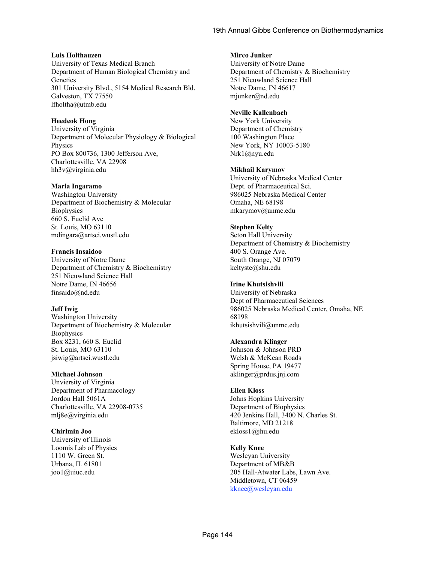#### **Luis Holthauzen**

University of Texas Medical Branch Department of Human Biological Chemistry and **Genetics** 301 University Blvd., 5154 Medical Research Bld. Galveston, TX 77550 lfholtha@utmb.edu

#### **Heedeok Hong**

University of Virginia Department of Molecular Physiology & Biological Physics PO Box 800736, 1300 Jefferson Ave, Charlottesville, VA 22908 hh3v@virginia.edu

#### **Maria Ingaramo**

Washington University Department of Biochemistry & Molecular **Biophysics** 660 S. Euclid Ave St. Louis, MO 63110 mdingara@artsci.wustl.edu

#### **Francis Insaidoo**

University of Notre Dame Department of Chemistry & Biochemistry 251 Nieuwland Science Hall Notre Dame, IN 46656 finsaido@nd.edu

#### **Jeff Iwig**

Washington University Department of Biochemistry & Molecular **Biophysics** Box 8231, 660 S. Euclid St. Louis, MO 63110 jsiwig@artsci.wustl.edu

#### **Michael Johnson**

Unviersity of Virginia Department of Pharmacology Jordon Hall 5061A Charlottesville, VA 22908-0735 mlj8e@virginia.edu

## **Chirlmin Joo**

University of Illinois Loomis Lab of Physics 1110 W. Green St. Urbana, IL 61801 joo1@uiuc.edu

#### **Mirco Junker**

University of Notre Dame Department of Chemistry & Biochemistry 251 Nieuwland Science Hall Notre Dame, IN 46617 mjunker@nd.edu

#### **Neville Kallenbach**

New York University Department of Chemistry 100 Washington Place New York, NY 10003-5180 Nrk1@nyu.edu

#### **Mikhail Karymov**

University of Nebraska Medical Center Dept. of Pharmaceutical Sci. 986025 Nebraska Medical Center Omaha, NE 68198 mkarymov@unmc.edu

#### **Stephen Kelty**

Seton Hall University Department of Chemistry & Biochemistry 400 S. Orange Ave. South Orange, NJ 07079 keltyste@shu.edu

#### **Irine Khutsishvili**

University of Nebraska Dept of Pharmaceutical Sciences 986025 Nebraska Medical Center, Omaha, NE 68198 ikhutsishvili@unmc.edu

#### **Alexandra Klinger**

Johnson & Johnson PRD Welsh & McKean Roads Spring House, PA 19477 aklinger@prdus.jnj.com

#### **Ellen Kloss**

Johns Hopkins University Department of Biophysics 420 Jenkins Hall, 3400 N. Charles St. Baltimore, MD 21218 ekloss1@jhu.edu

# **Kelly Knee**

Wesleyan University Department of MB&B 205 Hall-Atwater Labs, Lawn Ave. Middletown, CT 06459 kknee@wesleyan.edu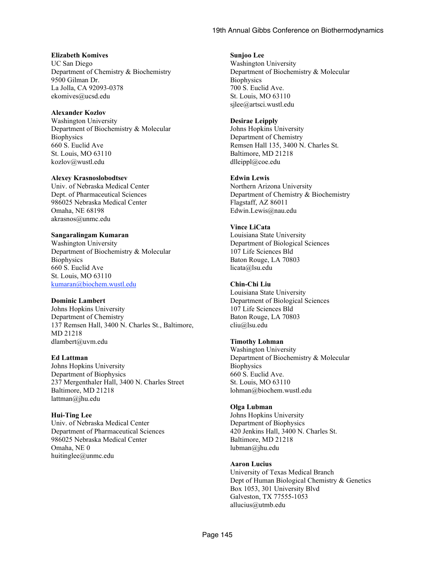#### **Elizabeth Komives**

UC San Diego Department of Chemistry & Biochemistry 9500 Gilman Dr. La Jolla, CA 92093-0378 ekomives@ucsd.edu

#### **Alexander Kozlov**

Washington University Department of Biochemistry & Molecular **Biophysics** 660 S. Euclid Ave St. Louis, MO 63110 kozlov@wustl.edu

#### **Alexey Krasnoslobodtsev**

Univ. of Nebraska Medical Center Dept. of Pharmaceutical Sciences 986025 Nebraska Medical Center Omaha, NE 68198 akrasnos@unmc.edu

#### **Sangaralingam Kumaran**

Washington University Department of Biochemistry & Molecular **Biophysics** 660 S. Euclid Ave St. Louis, MO 63110 kumaran@biochem.wustl.edu

#### **Dominic Lambert**

Johns Hopkins University Department of Chemistry 137 Remsen Hall, 3400 N. Charles St., Baltimore, MD 21218 dlambert@uvm.edu

#### **Ed Lattman**

Johns Hopkins University Department of Biophysics 237 Mergenthaler Hall, 3400 N. Charles Street Baltimore, MD 21218 lattman@jhu.edu

#### **Hui-Ting Lee**

Univ. of Nebraska Medical Center Department of Pharmaceutical Sciences 986025 Nebraska Medical Center Omaha, NE 0 huitinglee@unmc.edu

#### **Sunjoo Lee**

Washington University Department of Biochemistry & Molecular **Biophysics** 700 S. Euclid Ave. St. Louis, MO 63110 sjlee@artsci.wustl.edu

#### **Desirae Leipply**

Johns Hopkins University Department of Chemistry Remsen Hall 135, 3400 N. Charles St. Baltimore, MD 21218 dlleippl@coe.edu

#### **Edwin Lewis**

Northern Arizona University Department of Chemistry & Biochemistry Flagstaff, AZ 86011 Edwin.Lewis@nau.edu

#### **Vince LiCata**

Louisiana State University Department of Biological Sciences 107 Life Sciences Bld Baton Rouge, LA 70803 licata@lsu.edu

#### **Chin-Chi Liu**

Louisiana State University Department of Biological Sciences 107 Life Sciences Bld Baton Rouge, LA 70803 cliu@lsu.edu

#### **Timothy Lohman**

Washington University Department of Biochemistry & Molecular **Biophysics** 660 S. Euclid Ave. St. Louis, MO 63110 lohman@biochem.wustl.edu

#### **Olga Lubman**

Johns Hopkins University Department of Biophysics 420 Jenkins Hall, 3400 N. Charles St. Baltimore, MD 21218 lubman@jhu.edu

#### **Aaron Lucius**

University of Texas Medical Branch Dept of Human Biological Chemistry & Genetics Box 1053, 301 University Blvd Galveston, TX 77555-1053 allucius@utmb.edu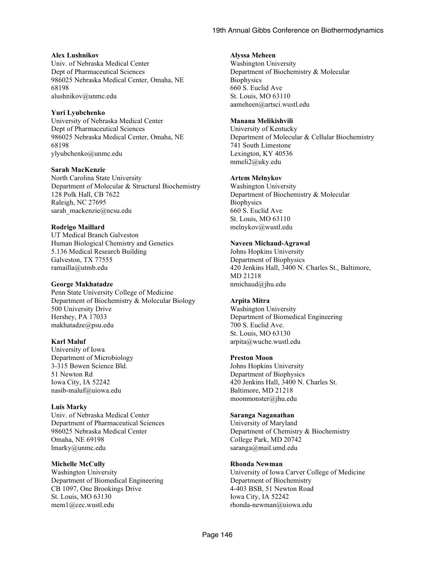#### **Alex Lushnikov**

Univ. of Nebraska Medical Center Dept of Pharmaceutical Sciences 986025 Nebraska Medical Center, Omaha, NE 68198 alushnikov@unmc.edu

#### **Yuri Lyubchenko**

University of Nebraska Medical Center Dept of Pharmaceutical Sciences 986025 Nebraska Medical Center, Omaha, NE 68198 ylyubchenko@unmc.edu

#### **Sarah MacKenzie**

North Carolina State University Department of Molecular & Structural Biochemistry 128 Polk Hall, CB 7622 Raleigh, NC 27695 sarah\_mackenzie@ncsu.edu

#### **Rodrigo Maillard**

UT Medical Branch Galveston Human Biological Chemistry and Genetics 5.136 Medical Research Building Galveston, TX 77555 ramailla@utmb.edu

#### **George Makhatadze**

Penn State University College of Medicine Department of Biochemistry & Molecular Biology 500 University Drive Hershey, PA 17033 makhatadze@psu.edu

## **Karl Maluf**

University of Iowa Department of Microbiology 3-315 Bowen Science Bld. 51 Newton Rd Iowa City, IA 52242 nasib-maluf@uiowa.edu

#### **Luis Marky**

Univ. of Nebraska Medical Center Department of Pharmaceutical Sciences 986025 Nebraska Medical Center Omaha, NE 69198 lmarky@unmc.edu

#### **Michelle McCully**

Washington University Department of Biomedical Engineering CB 1097, One Brookings Drive St. Louis, MO 63130 mem1@cec.wustl.edu

#### **Alyssa Meheen**

Washington University Department of Biochemistry & Molecular **Biophysics** 660 S. Euclid Ave St. Louis, MO 63110 aameheen@artsci.wustl.edu

#### **Manana Melikishvili**

University of Kentucky Department of Molecular & Cellular Biochemistry 741 South Limestone Lexington, KY 40536 mmeli2@uky.edu

#### **Artem Melnykov**

Washington University Department of Biochemistry & Molecular **Biophysics** 660 S. Euclid Ave St. Louis, MO 63110 melnykov@wustl.edu

#### **Naveen Michaud-Agrawal**

Johns Hopkins University Department of Biophysics 420 Jenkins Hall, 3400 N. Charles St., Baltimore, MD 21218 nmichaud@jhu.edu

## **Arpita Mitra**

Washington University Department of Biomedical Engineering 700 S. Euclid Ave. St. Louis, MO 63130 arpita@wuche.wustl.edu

#### **Preston Moon**

Johns Hopkins University Department of Biophysics 420 Jenkins Hall, 3400 N. Charles St. Baltimore, MD 21218 moonmonster@jhu.edu

#### **Saranga Naganathan**

University of Maryland Department of Chemistry & Biochemistry College Park, MD 20742 saranga@mail.umd.edu

#### **Rhonda Newman**

University of Iowa Carver College of Medicine Department of Biochemistry 4-403 BSB, 51 Newton Road Iowa City, IA 52242 rhonda-newman@uiowa.edu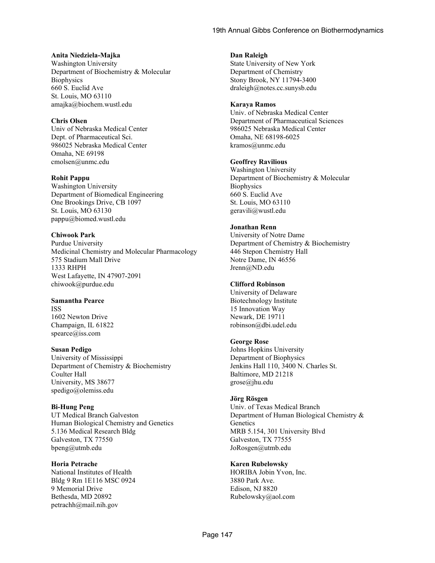#### **Anita Niedziela-Majka**

Washington University Department of Biochemistry & Molecular **Biophysics** 660 S. Euclid Ave St. Louis, MO 63110 amajka@biochem.wustl.edu

#### **Chris Olsen**

Univ of Nebraska Medical Center Dept. of Pharmaceutical Sci. 986025 Nebraska Medical Center Omaha, NE 69198 cmolsen@unmc.edu

#### **Rohit Pappu**

Washington University Department of Biomedical Engineering One Brookings Drive, CB 1097 St. Louis, MO 63130 pappu@biomed.wustl.edu

#### **Chiwook Park**

Purdue University Medicinal Chemistry and Molecular Pharmacology 575 Stadium Mall Drive 1333 RHPH West Lafayette, IN 47907-2091 chiwook@purdue.edu

# **Samantha Pearce**

ISS 1602 Newton Drive Champaign, IL 61822 spearce@iss.com

#### **Susan Pedigo**

University of Mississippi Department of Chemistry & Biochemistry Coulter Hall University, MS 38677 spedigo@olemiss.edu

#### **Bi-Hung Peng**

UT Medical Branch Galveston Human Biological Chemistry and Genetics 5.136 Medical Research Bldg Galveston, TX 77550 bpeng@utmb.edu

#### **Horia Petrache**

National Institutes of Health Bldg 9 Rm 1E116 MSC 0924 9 Memorial Drive Bethesda, MD 20892 petrachh@mail.nih.gov

#### **Dan Raleigh**

State University of New York Department of Chemistry Stony Brook, NY 11794-3400 draleigh@notes.cc.sunysb.edu

#### **Karaya Ramos**

Univ. of Nebraska Medical Center Department of Pharmaceutical Sciences 986025 Nebraska Medical Center Omaha, NE 68198-6025 kramos@unmc.edu

#### **Geoffrey Ravilious**

Washington University Department of Biochemistry & Molecular **Biophysics** 660 S. Euclid Ave St. Louis, MO 63110 geravili@wustl.edu

## **Jonathan Renn**

University of Notre Dame Department of Chemistry & Biochemistry 446 Stepon Chemistry Hall Notre Dame, IN 46556 Jrenn@ND.edu

## **Clifford Robinson**

University of Delaware Biotechnology Institute 15 Innovation Way Newark, DE 19711 robinson@dbi.udel.edu

## **George Rose**

Johns Hopkins University Department of Biophysics Jenkins Hall 110, 3400 N. Charles St. Baltimore, MD 21218 grose@jhu.edu

## **Jörg Rösgen**

Univ. of Texas Medical Branch Department of Human Biological Chemistry & **Genetics** MRB 5.154, 301 University Blvd Galveston, TX 77555 JoRosgen@utmb.edu

## **Karen Rubelowsky**

HORIBA Jobin Yvon, Inc. 3880 Park Ave. Edison, NJ 8820 Rubelowsky@aol.com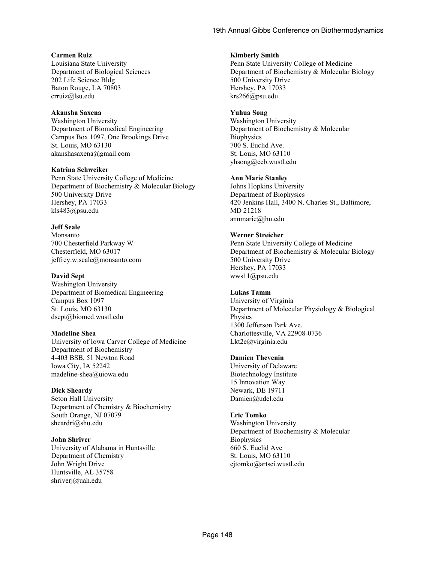#### **Carmen Ruiz**

Louisiana State University Department of Biological Sciences 202 Life Science Bldg Baton Rouge, LA 70803 crruiz@lsu.edu

#### **Akansha Saxena**

Washington University Department of Biomedical Engineering Campus Box 1097, One Brookings Drive St. Louis, MO 63130 akanshasaxena@gmail.com

#### **Katrina Schweiker**

Penn State University College of Medicine Department of Biochemistry & Molecular Biology 500 University Drive Hershey, PA 17033 kls483@psu.edu

#### **Jeff Seale**

Monsanto 700 Chesterfield Parkway W Chesterfield, MO 63017 jeffrey.w.seale@monsanto.com

#### **David Sept**

Washington University Department of Biomedical Engineering Campus Box 1097 St. Louis, MO 63130 dsept@biomed.wustl.edu

#### **Madeline Shea**

University of Iowa Carver College of Medicine Department of Biochemistry 4-403 BSB, 51 Newton Road Iowa City, IA 52242 madeline-shea@uiowa.edu

#### **Dick Sheardy**

Seton Hall University Department of Chemistry & Biochemistry South Orange, NJ 07079 sheardri@shu.edu

#### **John Shriver**

University of Alabama in Huntsville Department of Chemistry John Wright Drive Huntsville, AL 35758 shriverj@uah.edu

#### **Kimberly Smith**

Penn State University College of Medicine Department of Biochemistry & Molecular Biology 500 University Drive Hershey, PA 17033 krs266@psu.edu

#### **Yuhua Song**

Washington University Department of Biochemistry & Molecular **Biophysics** 700 S. Euclid Ave. St. Louis, MO 63110 yhsong@ccb.wustl.edu

#### **Ann Marie Stanley**

Johns Hopkins University Department of Biophysics 420 Jenkins Hall, 3400 N. Charles St., Baltimore, MD 21218 annmarie@jhu.edu

#### **Werner Streicher**

Penn State University College of Medicine Department of Biochemistry & Molecular Biology 500 University Drive Hershey, PA 17033 wws11@psu.edu

#### **Lukas Tamm**

University of Virginia Department of Molecular Physiology & Biological Physics 1300 Jefferson Park Ave. Charlottesville, VA 22908-0736 Lkt2e@virginia.edu

#### **Damien Thevenin**

University of Delaware Biotechnology Institute 15 Innovation Way Newark, DE 19711 Damien@udel.edu

## **Eric Tomko**

Washington University Department of Biochemistry & Molecular **Biophysics** 660 S. Euclid Ave St. Louis, MO 63110 ejtomko@artsci.wustl.edu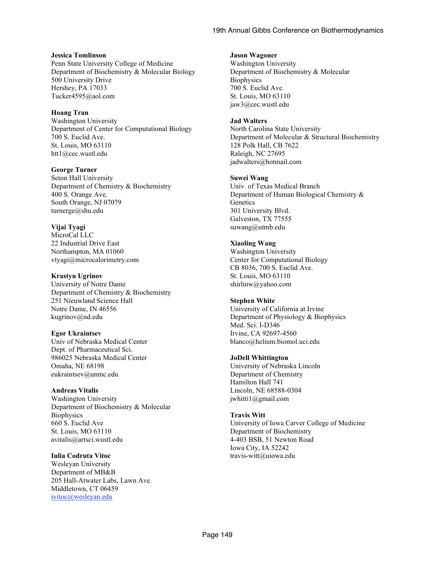#### **Jessica Tomlinson**

Penn State University College of Medicine Department of Biochemistry & Molecular Biology 500 University Drive Hershey, PA 17033 Tucker4595@aol.com

#### **Hoang Tran**

Washington University Department of Center for Computational Biology 700 S. Euclid Ave. St. Louis, MO 63110 htt1@cec.wustl.edu

#### **George Turner**

Seton Hall University Department of Chemistry & Biochemistry 400 S. Orange Ave. South Orange, NJ 07079 turnerge@shu.edu

## **Vijai Tyagi**

MicroCal LLC 22 Industrial Drive East Northampton, MA 01060 vtyagi@microcalorimetry.com

#### **Krastyu Ugrinov**

University of Notre Dame Department of Chemistry & Biochemistry 251 Nieuwland Science Hall Notre Dame, IN 46556 kugrinov@nd.edu

#### **Egor Ukraintsev**

Univ of Nebraska Medical Center Dept. of Pharmaceutical Sci. 986025 Nebraska Medical Center Omaha, NE 68198 eukraintsev@unmc.edu

#### **Andreas Vitalis**

Washington University Department of Biochemistry & Molecular **Biophysics** 660 S. Euclid Ave St. Louis, MO 63110 avitalis@artsci.wustl.edu

#### **Iulia Codruta Vitoc**

Wesleyan University Department of MB&B 205 Hall-Atwater Labs, Lawn Ave. Middletown, CT 06459 ivitoc@wesleyan.edu

#### **Jason Wagoner**

Washington University Department of Biochemistry & Molecular **Biophysics** 700 S. Euclid Ave. St. Louis, MO 63110 jaw3@cec.wustl.edu

#### **Jad Walters**

North Carolina State University Department of Molecular & Structural Biochemistry 128 Polk Hall, CB 7622 Raleigh, NC 27695 jadwalters@hotmail.com

#### **Suwei Wang**

Univ. of Texas Medical Branch Department of Human Biological Chemistry & **Genetics** 301 University Blvd. Galveston, TX 77555 suwang@utmb.edu

#### **Xiaoling Wang**

Washington University Center for Computational Biology CB 8036, 700 S. Euclid Ave. St. Louis, MO 63110 shirlinw@yahoo.com

#### **Stephen White**

University of California at Irvine Department of Physiology & Biophysics Med. Sci. I-D346 Irvine, CA 92697-4560 blanco@helium.biomol.uci.edu

#### **JoDell Whittington**

University of Nebraska Lincoln Department of Chemistry Hamilton Hall 741 Lincoln, NE 68588-0304 jwhitti1@gmail.com

#### **Travis Witt**

University of Iowa Carver College of Medicine Department of Biochemistry 4-403 BSB, 51 Newton Road Iowa City, IA 52242 travis-witt@uiowa.edu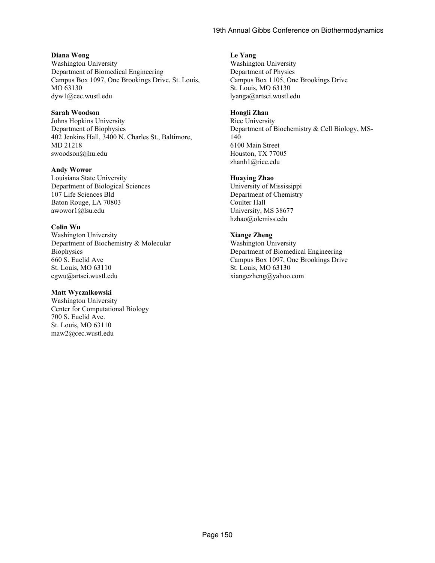#### **Diana Wong**

Washington University Department of Biomedical Engineering Campus Box 1097, One Brookings Drive, St. Louis, MO 63130 dyw1@cec.wustl.edu

#### **Sarah Woodson**

Johns Hopkins University Department of Biophysics 402 Jenkins Hall, 3400 N. Charles St., Baltimore, MD 21218 swoodson@jhu.edu

#### **Andy Wowor**

Louisiana State University Department of Biological Sciences 107 Life Sciences Bld Baton Rouge, LA 70803 awowor1@lsu.edu

#### **Colin Wu**

Washington University Department of Biochemistry & Molecular **Biophysics** 660 S. Euclid Ave St. Louis, MO 63110 cgwu@artsci.wustl.edu

#### **Matt Wyczalkowski**

Washington University Center for Computational Biology 700 S. Euclid Ave. St. Louis, MO 63110 maw2@cec.wustl.edu

#### **Le Yang**

Washington University Department of Physics Campus Box 1105, One Brookings Drive St. Louis, MO 63130 lyanga@artsci.wustl.edu

#### **Hongli Zhan**

Rice University Department of Biochemistry & Cell Biology, MS-140 6100 Main Street Houston, TX 77005 zhanh1@rice.edu

#### **Huaying Zhao**

University of Mississippi Department of Chemistry Coulter Hall University, MS 38677 hzhao@olemiss.edu

# **Xiange Zheng**

Washington University Department of Biomedical Engineering Campus Box 1097, One Brookings Drive St. Louis, MO 63130 xiangezheng@yahoo.com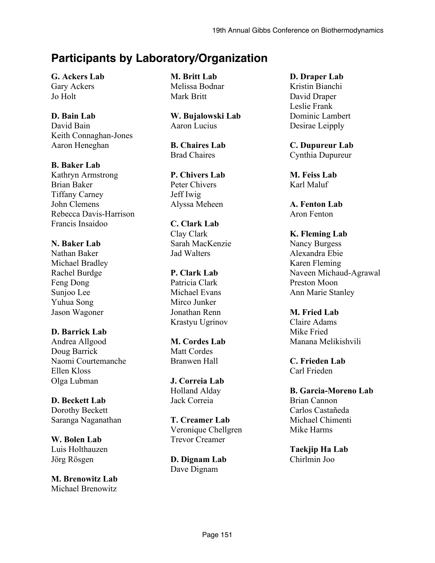# **Participants by Laboratory/Organization**

**G. Ackers Lab** Gary Ackers Jo Holt

# **D. Bain Lab**

David Bain Keith Connaghan-Jones Aaron Heneghan

**B. Baker Lab**

Kathryn Armstrong Brian Baker Tiffany Carney John Clemens Rebecca Davis-Harrison Francis Insaidoo

# **N. Baker Lab**

Nathan Baker Michael Bradley Rachel Burdge Feng Dong Sunjoo Lee Yuhua Song Jason Wagoner

# **D. Barrick Lab**

Andrea Allgood Doug Barrick Naomi Courtemanche Ellen Kloss Olga Lubman

# **D. Beckett Lab**

Dorothy Beckett Saranga Naganathan

**W. Bolen Lab** Luis Holthauzen Jörg Rösgen

**M. Brenowitz Lab** Michael Brenowitz

**M. Britt Lab** Melissa Bodnar Mark Britt

**W. Bujalowski Lab** Aaron Lucius

**B. Chaires Lab** Brad Chaires

**P. Chivers Lab** Peter Chivers Jeff Iwig Alyssa Meheen

**C. Clark Lab**

Clay Clark Sarah MacKenzie Jad Walters

**P. Clark Lab** Patricia Clark Michael Evans Mirco Junker Jonathan Renn Krastyu Ugrinov

**M. Cordes Lab** Matt Cordes Branwen Hall

**J. Correia Lab** Holland Alday Jack Correia

**T. Creamer Lab** Veronique Chellgren Trevor Creamer

**D. Dignam Lab** Dave Dignam

**D. Draper Lab** Kristin Bianchi David Draper Leslie Frank Dominic Lambert Desirae Leipply

**C. Dupureur Lab** Cynthia Dupureur

**M. Feiss Lab** Karl Maluf

**A. Fenton Lab** Aron Fenton

**K. Fleming Lab** Nancy Burgess Alexandra Ebie Karen Fleming Naveen Michaud-Agrawal Preston Moon Ann Marie Stanley

**M. Fried Lab** Claire Adams Mike Fried Manana Melikishvili

**C. Frieden Lab** Carl Frieden

**B. Garcia-Moreno Lab** Brian Cannon Carlos Castañeda Michael Chimenti Mike Harms

**Taekjip Ha Lab** Chirlmin Joo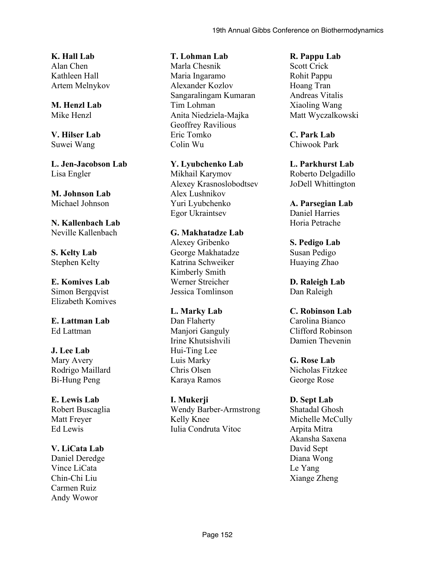**K. Hall Lab** Alan Chen Kathleen Hall Artem Melnykov

# **M. Henzl Lab** Mike Henzl

**V. Hilser Lab** Suwei Wang

**L. Jen-Jacobson Lab** Lisa Engler

**M. Johnson Lab** Michael Johnson

# **N. Kallenbach Lab** Neville Kallenbach

**S. Kelty Lab** Stephen Kelty

**E. Komives Lab** Simon Bergqvist Elizabeth Komives

**E. Lattman Lab** Ed Lattman

# **J. Lee Lab**

Mary Avery Rodrigo Maillard Bi-Hung Peng

# **E. Lewis Lab**

Robert Buscaglia Matt Freyer Ed Lewis

# **V. LiCata Lab**

Daniel Deredge Vince LiCata Chin-Chi Liu Carmen Ruiz Andy Wowor

# **T. Lohman Lab**

Marla Chesnik Maria Ingaramo Alexander Kozlov Sangaralingam Kumaran Tim Lohman Anita Niedziela-Majka Geoffrey Ravilious Eric Tomko Colin Wu

**Y. Lyubchenko Lab** Mikhail Karymov Alexey Krasnoslobodtsev Alex Lushnikov Yuri Lyubchenko Egor Ukraintsev

**G. Makhatadze Lab** Alexey Gribenko George Makhatadze Katrina Schweiker Kimberly Smith Werner Streicher Jessica Tomlinson

**L. Marky Lab** Dan Flaherty Manjori Ganguly Irine Khutsishvili Hui-Ting Lee Luis Marky Chris Olsen Karaya Ramos

**I. Mukerji** Wendy Barber-Armstrong Kelly Knee Iulia Condruta Vitoc

# **R. Pappu Lab**

Scott Crick Rohit Pappu Hoang Tran Andreas Vitalis Xiaoling Wang Matt Wyczalkowski

**C. Park Lab** Chiwook Park

**L. Parkhurst Lab** Roberto Delgadillo JoDell Whittington

**A. Parsegian Lab** Daniel Harries Horia Petrache

**S. Pedigo Lab** Susan Pedigo Huaying Zhao

**D. Raleigh Lab** Dan Raleigh

**C. Robinson Lab** Carolina Bianco Clifford Robinson Damien Thevenin

**G. Rose Lab** Nicholas Fitzkee George Rose

# **D. Sept Lab**

Shatadal Ghosh Michelle McCully Arpita Mitra Akansha Saxena David Sept Diana Wong Le Yang Xiange Zheng